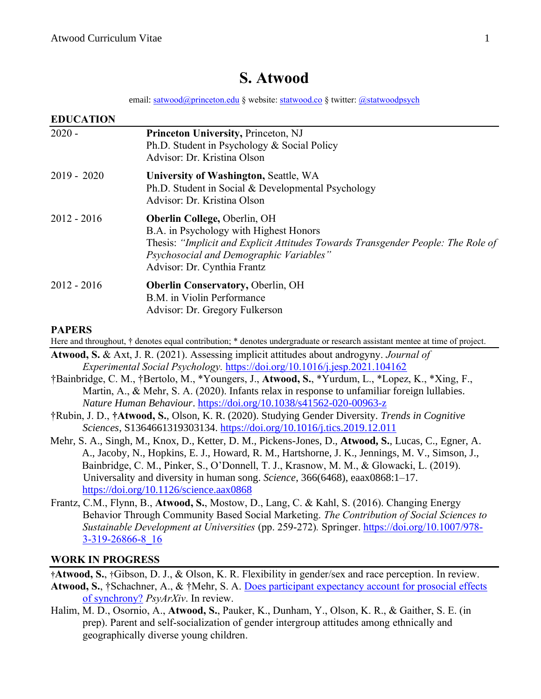# **S. Atwood**

email: [satwood@princeton.edu](mailto:satwood@princeton.edu) § website[: statwood.co](https://statwood.netlify.app/) § twitter: [@statwoodpsych](https://twitter.com/statwoodpsych)

| <b>EDUCATION</b> |                                                                                                                                                                                                                                             |
|------------------|---------------------------------------------------------------------------------------------------------------------------------------------------------------------------------------------------------------------------------------------|
| $2020 -$         | Princeton University, Princeton, NJ<br>Ph.D. Student in Psychology & Social Policy<br>Advisor: Dr. Kristina Olson                                                                                                                           |
| $2019 - 2020$    | University of Washington, Seattle, WA<br>Ph.D. Student in Social & Developmental Psychology<br>Advisor: Dr. Kristina Olson                                                                                                                  |
| $2012 - 2016$    | <b>Oberlin College, Oberlin, OH</b><br>B.A. in Psychology with Highest Honors<br>Thesis: "Implicit and Explicit Attitudes Towards Transgender People: The Role of<br>Psychosocial and Demographic Variables"<br>Advisor: Dr. Cynthia Frantz |
| $2012 - 2016$    | <b>Oberlin Conservatory, Oberlin, OH</b><br>B.M. in Violin Performance<br>Advisor: Dr. Gregory Fulkerson                                                                                                                                    |

#### **PAPERS**

Here and throughout, † denotes equal contribution; \* denotes undergraduate or research assistant mentee at time of project.

**Atwood, S.** & Axt, J. R. (2021). Assessing implicit attitudes about androgyny. *Journal of Experimental Social Psychology.* <https://doi.org/10.1016/j.jesp.2021.104162>

†Bainbridge, C. M., †Bertolo, M., \*Youngers, J., **Atwood, S.**, \*Yurdum, L., \*Lopez, K., \*Xing, F., Martin, A., & Mehr, S. A. (2020). Infants relax in response to unfamiliar foreign lullabies. *Nature Human Behaviour*.<https://doi.org/10.1038/s41562-020-00963-z>

- †Rubin, J. D., **†Atwood, S.**, Olson, K. R. (2020). Studying Gender Diversity. *Trends in Cognitive Sciences*, S1364661319303134. https://doi.org/10.1016/j.tics.2019.12.011
- Mehr, S. A., Singh, M., Knox, D., Ketter, D. M., Pickens-Jones, D., **Atwood, S.**, Lucas, C., Egner, A. A., Jacoby, N., Hopkins, E. J., Howard, R. M., Hartshorne, J. K., Jennings, M. V., Simson, J., Bainbridge, C. M., Pinker, S., O'Donnell, T. J., Krasnow, M. M., & Glowacki, L. (2019). Universality and diversity in human song. *Science*, 366(6468), eaax0868:1–17. https://doi.org/10.1126/science.aax0868
- Frantz, C.M., Flynn, B., **Atwood, S.**, Mostow, D., Lang, C. & Kahl, S. (2016). Changing Energy Behavior Through Community Based Social Marketing. *The Contribution of Social Sciences to Sustainable Development at Universities* (pp. 259-272)*.* Springer. [https://doi.org/10.1007/978-](https://doi.org/10.1007/978-3-319-26866-8_16) [3-319-26866-8\\_16](https://doi.org/10.1007/978-3-319-26866-8_16)

#### **WORK IN PROGRESS**

**†Atwood, S.**, †Gibson, D. J., & Olson, K. R. Flexibility in gender/sex and race perception. In review. **Atwood, S.**, †Schachner, A., & †Mehr, S. A. [Does participant expectancy account for prosocial effects](https://psyarxiv.com/zjy8u/) 

[of synchrony?](https://psyarxiv.com/zjy8u/) *PsyArXiv*. In review.

Halim, M. D., Osornio, A., **Atwood, S.**, Pauker, K., Dunham, Y., Olson, K. R., & Gaither, S. E. (in prep). Parent and self-socialization of gender intergroup attitudes among ethnically and geographically diverse young children.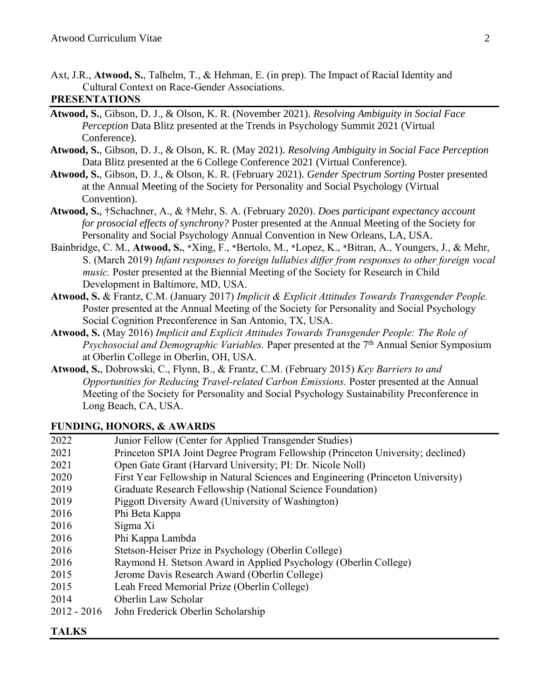Axt, J.R., **Atwood, S.**, Talhelm, T., & Hehman, E. (in prep). The Impact of Racial Identity and Cultural Context on Race-Gender Associations.

#### **PRESENTATIONS**

- **Atwood, S.**, Gibson, D. J., & Olson, K. R. (November 2021). *Resolving Ambiguity in Social Face Perception* Data Blitz presented at the Trends in Psychology Summit 2021 (Virtual Conference).
- **Atwood, S.**, Gibson, D. J., & Olson, K. R. (May 2021). *Resolving Ambiguity in Social Face Perception* Data Blitz presented at the 6 College Conference 2021 (Virtual Conference).
- **Atwood, S.**, Gibson, D. J., & Olson, K. R. (February 2021). *Gender Spectrum Sorting* Poster presented at the Annual Meeting of the Society for Personality and Social Psychology (Virtual Convention).
- **Atwood, S.**, †Schachner, A., & †Mehr, S. A. (February 2020). *Does participant expectancy account for prosocial effects of synchrony?* Poster presented at the Annual Meeting of the Society for Personality and Social Psychology Annual Convention in New Orleans, LA, USA.
- Bainbridge, C. M., **Atwood, S.**, \*Xing, F., \*Bertolo, M., \*Lopez, K., \*Bitran, A., Youngers, J., & Mehr, S. (March 2019) *Infant responses to foreign lullabies differ from responses to other foreign vocal music.* Poster presented at the Biennial Meeting of the Society for Research in Child Development in Baltimore, MD, USA.
- **Atwood, S.** & Frantz, C.M. (January 2017) *Implicit & Explicit Attitudes Towards Transgender People.* Poster presented at the Annual Meeting of the Society for Personality and Social Psychology Social Cognition Preconference in San Antonio, TX, USA.
- **Atwood, S.** (May 2016) *Implicit and Explicit Attitudes Towards Transgender People: The Role of Psychosocial and Demographic Variables.* Paper presented at the 7th Annual Senior Symposium at Oberlin College in Oberlin, OH, USA.
- **Atwood, S.**, Dobrowski, C., Flynn, B., & Frantz, C.M. (February 2015) *Key Barriers to and Opportunities for Reducing Travel-related Carbon Emissions.* Poster presented at the Annual Meeting of the Society for Personality and Social Psychology Sustainability Preconference in Long Beach, CA, USA.

#### **FUNDING, HONORS, & AWARDS**

| 2022          | Junior Fellow (Center for Applied Transgender Studies)                           |
|---------------|----------------------------------------------------------------------------------|
| 2021          | Princeton SPIA Joint Degree Program Fellowship (Princeton University; declined)  |
| 2021          | Open Gate Grant (Harvard University; PI: Dr. Nicole Noll)                        |
| 2020          | First Year Fellowship in Natural Sciences and Engineering (Princeton University) |
| 2019          | Graduate Research Fellowship (National Science Foundation)                       |
| 2019          | Piggott Diversity Award (University of Washington)                               |
| 2016          | Phi Beta Kappa                                                                   |
| 2016          | Sigma Xi                                                                         |
| 2016          | Phi Kappa Lambda                                                                 |
| 2016          | Stetson-Heiser Prize in Psychology (Oberlin College)                             |
| 2016          | Raymond H. Stetson Award in Applied Psychology (Oberlin College)                 |
| 2015          | Jerome Davis Research Award (Oberlin College)                                    |
| 2015          | Leah Freed Memorial Prize (Oberlin College)                                      |
| 2014          | Oberlin Law Scholar                                                              |
| $2012 - 2016$ | John Frederick Oberlin Scholarship                                               |

## **TALKS**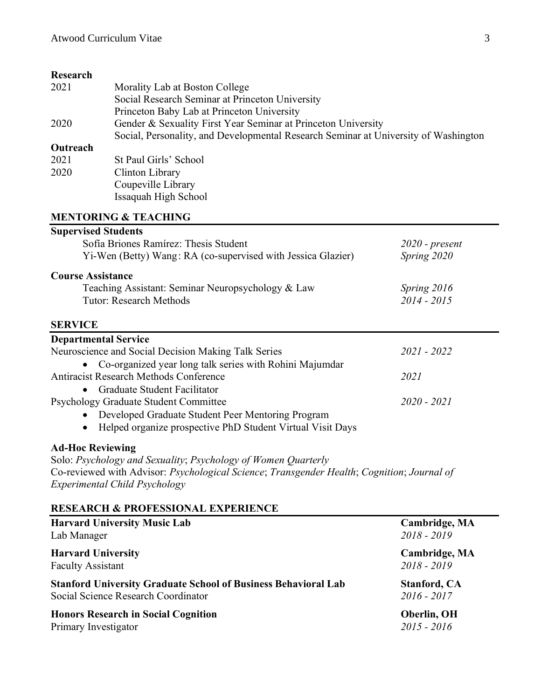### **Research**

| 11090ai 011 |                                                                                     |
|-------------|-------------------------------------------------------------------------------------|
| 2021        | Morality Lab at Boston College                                                      |
|             | Social Research Seminar at Princeton University                                     |
|             | Princeton Baby Lab at Princeton University                                          |
| 2020        | Gender & Sexuality First Year Seminar at Princeton University                       |
|             | Social, Personality, and Developmental Research Seminar at University of Washington |
| Outreach    |                                                                                     |
| 2021        | St Paul Girls' School                                                               |
| 2020        | Clinton Library                                                                     |
|             | Coupeville Library                                                                  |
|             | Issaquah High School                                                                |
|             |                                                                                     |

### **MENTORING & TEACHING**

| <b>Supervised Students</b>                                                                 |                     |
|--------------------------------------------------------------------------------------------|---------------------|
| Sofía Briones Ramírez: Thesis Student                                                      | $2020$ - present    |
| Yi-Wen (Betty) Wang: RA (co-supervised with Jessica Glazier)                               | Spring 2020         |
| <b>Course Assistance</b>                                                                   |                     |
| Teaching Assistant: Seminar Neuropsychology & Law                                          | Spring 2016         |
| <b>Tutor: Research Methods</b>                                                             | 2014 - 2015         |
| <b>SERVICE</b>                                                                             |                     |
| <b>Departmental Service</b>                                                                |                     |
| Neuroscience and Social Decision Making Talk Series                                        | $2021 - 2022$       |
| Co-organized year long talk series with Rohini Majumdar                                    |                     |
| <b>Antiracist Research Methods Conference</b>                                              | 2021                |
| Graduate Student Facilitator                                                               |                     |
| Psychology Graduate Student Committee                                                      | $2020 - 2021$       |
| Developed Graduate Student Peer Mentoring Program                                          |                     |
| Helped organize prospective PhD Student Virtual Visit Days<br>$\bullet$                    |                     |
| <b>Ad-Hoc Reviewing</b>                                                                    |                     |
| Solo: Psychology and Sexuality; Psychology of Women Quarterly                              |                     |
| Co-reviewed with Advisor: Psychological Science; Transgender Health; Cognition; Journal of |                     |
| Experimental Child Psychology                                                              |                     |
| <b>RESEARCH &amp; PROFESSIONAL EXPERIENCE</b>                                              |                     |
| <b>Harvard University Music Lab</b>                                                        | Cambridge, MA       |
| Lab Manager                                                                                | 2018 - 2019         |
| <b>Harvard University</b>                                                                  | Cambridge, MA       |
| <b>Faculty Assistant</b>                                                                   | 2018 - 2019         |
| <b>Stanford University Graduate School of Business Behavioral Lab</b>                      | <b>Stanford, CA</b> |
| Social Science Research Coordinator                                                        | $2016 - 2017$       |
| <b>Honors Research in Social Cognition</b>                                                 | Oberlin, OH         |
| Primary Investigator                                                                       | $2015 - 2016$       |